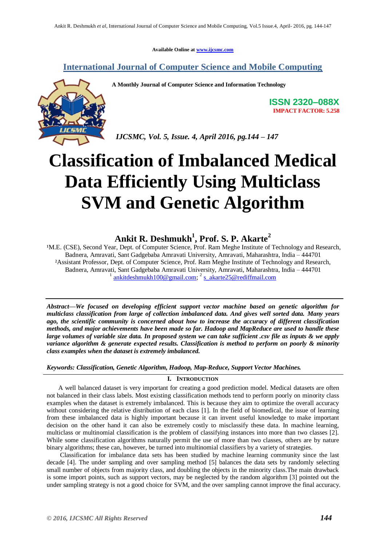**Available Online at www.ijcsmc.com**

### **International Journal of Computer Science and Mobile Computing**



**A Monthly Journal of Computer Science and Information Technology**

**ISSN 2320–088X IMPACT FACTOR: 5.258**

*IJCSMC, Vol. 5, Issue. 4, April 2016, pg.144 – 147*

# **Classification of Imbalanced Medical Data Efficiently Using Multiclass SVM and Genetic Algorithm**

## **Ankit R. Deshmukh<sup>1</sup> , Prof. S. P. Akarte<sup>2</sup>**

<sup>1</sup>M.E. (CSE), Second Year, Dept. of Computer Science, Prof. Ram Meghe Institute of Technology and Research, Badnera, Amravati, Sant Gadgebaba Amravati University, Amravati, Maharashtra, India – 444701 ²Assistant Professor, Dept. of Computer Science, Prof. Ram Meghe Institute of Technology and Research, Badnera, Amravati, Sant Gadgebaba Amravati University, Amravati, Maharashtra, India – 444701 <sup>1</sup> ankitdeshmukh100@gmail.com; <sup>2</sup> s\_akarte25@rediffmail.com

*Abstract—We focused on developing efficient support vector machine based on genetic algorithm for multiclass classification from large of collection imbalanced data. And gives well sorted data. Many years ago, the scientific community is concerned about how to increase the accuracy of different classification methods, and major achievements have been made so far. Hadoop and MapReduce are used to handle these large volumes of variable size data. In proposed system we can take sufficient .csv file as inputs & we apply variance algorithm & generate expected results. Classification is method to perform on poorly & minority class examples when the dataset is extremely imbalanced.*

*Keywords: Classification, Genetic Algorithm, Hadoop, Map-Reduce, Support Vector Machines.*

#### **I. INTRODUCTION**

A well balanced dataset is very important for creating a good prediction model. Medical datasets are often not balanced in their class labels. Most existing classification methods tend to perform poorly on minority class examples when the dataset is extremely imbalanced. This is because they aim to optimize the overall accuracy without considering the relative distribution of each class [1]. In the field of biomedical, the issue of learning from these imbalanced data is highly important because it can invent useful knowledge to make important decision on the other hand it can also be extremely costly to misclassify these data. In machine learning, multiclass or multinomial classification is the problem of classifying instances into more than two classes [2]. While some classification algorithms naturally permit the use of more than two classes, others are by nature binary algorithms; these can, however, be turned into multinomial classifiers by a variety of strategies.

Classification for imbalance data sets has been studied by machine learning community since the last decade [4]. The under sampling and over sampling method [5] balances the data sets by randomly selecting small number of objects from majority class, and doubling the objects in the minority class.The main drawback is some import points, such as support vectors, may be neglected by the random algorithm [3] pointed out the under sampling strategy is not a good choice for SVM, and the over sampling cannot improve the final accuracy.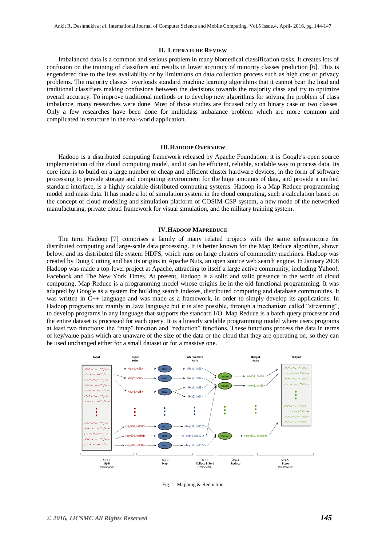#### **II. LITERATURE REVIEW**

Imbalanced data is a common and serious problem in many biomedical classification tasks. It creates lots of confusion on the training of classifiers and results in lower accuracy of minority classes prediction [6]. This is engendered due to the less availability or by limitations on data collection process such as high cost or privacy problems. The majority classes' overloads standard machine learning algorithms that it cannot bear the load and traditional classifiers making confusions between the decisions towards the majority class and try to optimize overall accuracy. To improve traditional methods or to develop new algorithms for solving the problem of class imbalance, many researches were done. Most of those studies are focused only on binary case or two classes. Only a few researches have been done for multiclass imbalance problem which are more common and complicated in structure in the real-world application.

#### **III.HADOOP OVERVIEW**

Hadoop is a distributed computing framework released by Apache Foundation, it is Google's open source implementation of the cloud computing model, and it can be efficient, reliable, scalable way to process data. Its core idea is to build on a large number of cheap and efficient cluster hardware devices, in the form of software processing to provide storage and computing environment for the huge amounts of data, and provide a unified standard interface, is a highly scalable distributed computing systems. Hadoop is a Map Reduce programming model and mass data. It has made a lot of simulation system in the cloud computing, such a calculation based on the concept of cloud modeling and simulation platform of COSIM-CSP system, a new mode of the networked manufacturing, private cloud framework for visual simulation, and the military training system.

#### **IV.HADOOP MAPREDUCE**

The term Hadoop [7] comprises a family of many related projects with the same infrastructure for distributed computing and large-scale data processing. It is better known for the Map Reduce algorithm, shown below, and its distributed file system HDFS, which runs on large clusters of commodity machines. Hadoop was created by Doug Cutting and has its origins in Apache Nuts, an open source web search engine. In January 2008 Hadoop was made a top-level project at Apache, attracting to itself a large active community, including Yahoo!, Facebook and The New York Times. At present, Hadoop is a solid and valid presence in the world of cloud computing. Map Reduce is a programming model whose origins lie in the old functional programming. It was adapted by Google as a system for building search indexes, distributed computing and database communities. It was written in C++ language and was made as a framework, in order to simply develop its applications. In Hadoop programs are mainly in Java language but it is also possible, through a mechanism called "streaming", to develop programs in any language that supports the standard I/O. Map Reduce is a batch query processor and the entire dataset is processed for each query. It is a linearly scalable programming model where users programs at least two functions: the "map" function and "reduction" functions. These functions process the data in terms of key/value pairs which are unaware of the size of the data or the cloud that they are operating on, so they can be used unchanged either for a small dataset or for a massive one.



Fig. 1 Mapping & Reduction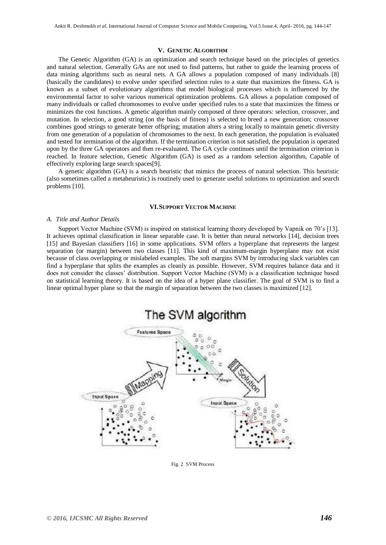#### **V. GENETIC ALGORITHM**

The Genetic Algorithm (GA) is an optimization and search technique based on the principles of genetics and natural selection. Generally GAs are not used to find patterns, but rather to guide the learning process of data mining algorithms such as neural nets. A GA allows a population composed of many individuals [8] (basically the candidates) to evolve under specified selection rules to a state that maximizes the fitness. GA is known as a subset of evolutionary algorithms that model biological processes which is influenced by the environmental factor to solve various numerical optimization problems. GA allows a population composed of many individuals or called chromosomes to evolve under specified rules to a state that maximizes the fitness or minimizes the cost functions. A genetic algorithm mainly composed of three operators: selection, crossover, and mutation. In selection, a good string (on the basis of fitness) is selected to breed a new generation; crossover combines good strings to generate better offspring; mutation alters a string locally to maintain genetic diversity from one generation of a population of chromosomes to the next. In each generation, the population is evaluated and tested for termination of the algorithm. If the termination criterion is not satisfied, the population is operated upon by the three GA operators and then re-evaluated. The GA cycle continues until the termination criterion is reached. In feature selection, Genetic Algorithm (GA) is used as a random selection algorithm, Capable of effectively exploring large search spaces[9].

A genetic algorithm (GA) is a search heuristic that mimics the process of natural selection. This heuristic (also sometimes called a metaheuristic) is routinely used to generate useful solutions to optimization and search problems [10].

#### **VI.SUPPORT VECTOR MACHINE**

#### *A. Title and Author Details*

Support Vector Machine (SVM) is inspired on statistical learning theory developed by Vapnik on 70's [13]. It achieves optimal classification in linear separable case. It is better than neural networks [14], decision trees [15] and Bayesian classifiers [16] in some applications. SVM offers a hyperplane that represents the largest separation (or margin) between two classes [11]. This kind of maximum-margin hyperplane may not exist because of class overlapping or mislabeled examples. The soft margins SVM by introducing slack variables can find a hyperplane that splits the examples as cleanly as possible. However, SVM requires balance data and it does not consider the classes' distribution. Support Vector Machine (SVM) is a classification technique based on statistical learning theory. It is based on the idea of a hyper plane classifier. The goal of SVM is to find a linear optimal hyper plane so that the margin of separation between the two classes is maximized [12].



Fig. 2 SVM Process